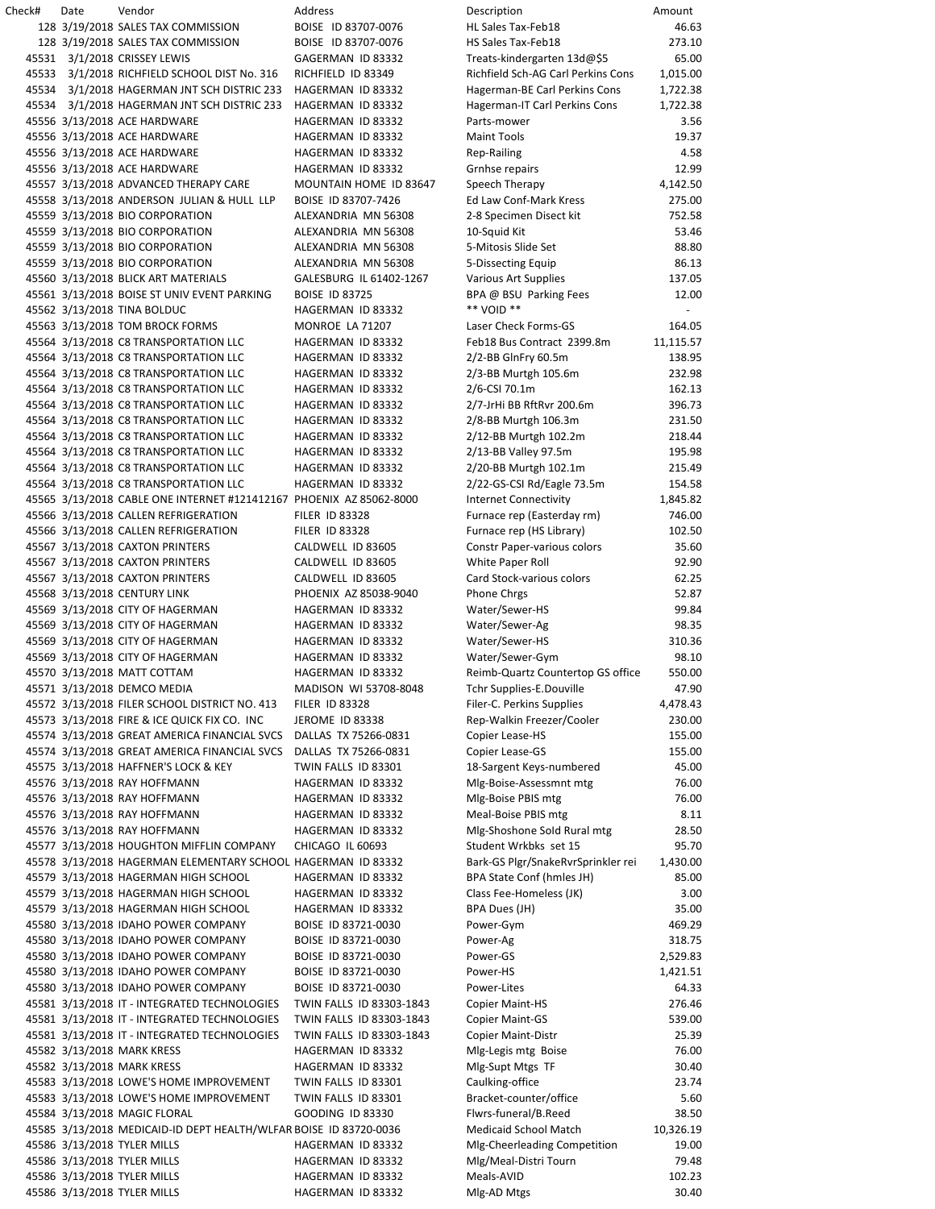Check# Date Vendor Address Description Amount 3/19/2018 SALES TAX COMMISSION BOISE ID 83707-0076 HL Sales Tax-Feb18 46.63 3/19/2018 SALES TAX COMMISSION BOISE ID 83707-0076 HS Sales Tax-Feb18 273.10 3/1/2018 CRISSEY LEWIS GAGERMAN ID 83332 Treats-kindergarten 13d@\$5 65.00 3/1/2018 RICHFIELD SCHOOL DIST No. 316 RICHFIELD ID 83349 Richfield Sch-AG Carl Perkins Cons 1,015.00 3/1/2018 HAGERMAN JNT SCH DISTRIC 233 HAGERMAN ID 83332 Hagerman-BE Carl Perkins Cons 1,722.38 3/1/2018 HAGERMAN JNT SCH DISTRIC 233 HAGERMAN ID 83332 Hagerman-IT Carl Perkins Cons 1,722.38 3/13/2018 ACE HARDWARE HAGERMAN ID 83332 Parts-mower 3.56 45556 3/13/2018 ACE HARDWARE 
HAGERMAN ID 83332

HAGERMAN ID 83332

Maint Tools

19.37 3/13/2018 ACE HARDWARE HAGERMAN ID 83332 Rep-Railing 4.58 3/13/2018 ACE HARDWARE HAGERMAN ID 83332 Grnhse repairs 12.99 3/13/2018 ADVANCED THERAPY CARE MOUNTAIN HOME ID 83647 Speech Therapy 4,142.50 3/13/2018 ANDERSON JULIAN & HULL LLP BOISE ID 83707-7426 Ed Law Conf-Mark Kress 275.00 3/13/2018 BIO CORPORATION ALEXANDRIA MN 56308 2-8 Specimen Disect kit 752.58 45559 3/13/2018 BIO CORPORATION ALEXANDRIA MN 56308 10-Squid Kit 53.46 3/13/2018 BIO CORPORATION ALEXANDRIA MN 56308 5-Mitosis Slide Set 88.80 3/13/2018 BIO CORPORATION ALEXANDRIA MN 56308 5-Dissecting Equip 86.13 3/13/2018 BLICK ART MATERIALS GALESBURG IL 61402-1267 Various Art Supplies 137.05 3/13/2018 BOISE ST UNIV EVENT PARKING BOISE ID 83725 BPA @ BSU Parking Fees 12.00 45562 3/13/2018 TINA BOLDUC **HAGERMAN ID 83332** \*\*\* VOID \*\* 3/13/2018 TOM BROCK FORMS MONROE LA 71207 Laser Check Forms-GS 164.05 3/13/2018 C8 TRANSPORTATION LLC HAGERMAN ID 83332 Feb18 Bus Contract 2399.8m 11,115.57 3/13/2018 C8 TRANSPORTATION LLC HAGERMAN ID 83332 2/2-BB GlnFry 60.5m 138.95 3/13/2018 C8 TRANSPORTATION LLC HAGERMAN ID 83332 2/3-BB Murtgh 105.6m 232.98 3/13/2018 C8 TRANSPORTATION LLC HAGERMAN ID 83332 2/6-CSI 70.1m 162.13 3/13/2018 C8 TRANSPORTATION LLC HAGERMAN ID 83332 2/7-JrHi BB RftRvr 200.6m 396.73 3/13/2018 C8 TRANSPORTATION LLC HAGERMAN ID 83332 2/8-BB Murtgh 106.3m 231.50 3/13/2018 C8 TRANSPORTATION LLC HAGERMAN ID 83332 2/12-BB Murtgh 102.2m 218.44 3/13/2018 C8 TRANSPORTATION LLC HAGERMAN ID 83332 2/13-BB Valley 97.5m 195.98 3/13/2018 C8 TRANSPORTATION LLC HAGERMAN ID 83332 2/20-BB Murtgh 102.1m 215.49 3/13/2018 C8 TRANSPORTATION LLC HAGERMAN ID 83332 2/22-GS-CSI Rd/Eagle 73.5m 154.58 3/13/2018 CABLE ONE INTERNET #121412167 PHOENIX AZ 85062-8000 Internet Connectivity 1,845.82 3/13/2018 CALLEN REFRIGERATION FILER ID 83328 Furnace rep (Easterday rm) 746.00 45566 3/13/2018 CALLEN REFRIGERATION FILER ID 83328 Furnace rep (HS Library) 102.50 3/13/2018 CAXTON PRINTERS CALDWELL ID 83605 Constr Paper-various colors 35.60 3/13/2018 CAXTON PRINTERS CALDWELL ID 83605 White Paper Roll 92.90 3/13/2018 CAXTON PRINTERS CALDWELL ID 83605 Card Stock-various colors 62.25 3/13/2018 CENTURY LINK PHOENIX AZ 85038-9040 Phone Chrgs 52.87 3/13/2018 CITY OF HAGERMAN HAGERMAN ID 83332 Water/Sewer-HS 99.84 3/13/2018 CITY OF HAGERMAN HAGERMAN ID 83332 Water/Sewer-Ag 98.35 3/13/2018 CITY OF HAGERMAN HAGERMAN ID 83332 Water/Sewer-HS 310.36 3/13/2018 CITY OF HAGERMAN HAGERMAN ID 83332 Water/Sewer-Gym 98.10 3/13/2018 MATT COTTAM HAGERMAN ID 83332 Reimb-Quartz Countertop GS office 550.00 3/13/2018 DEMCO MEDIA MADISON WI 53708-8048 Tchr Supplies-E.Douville 47.90 3/13/2018 FILER SCHOOL DISTRICT NO. 413 FILER ID 83328 Filer-C. Perkins Supplies 4,478.43 45573 3/13/2018 FIRE & ICE QUICK FIX CO. INC JEROME ID 83338 Rep-Walkin Freezer/Cooler 230.00 3/13/2018 GREAT AMERICA FINANCIAL SVCS DALLAS TX 75266-0831 Copier Lease-HS 155.00 3/13/2018 GREAT AMERICA FINANCIAL SVCS DALLAS TX 75266-0831 Copier Lease-GS 155.00 45575 3/13/2018 HAFFNER'S LOCK & KEY TWIN FALLS ID 83301 18-Sargent Keys-numbered 45.00 3/13/2018 RAY HOFFMANN HAGERMAN ID 83332 Mlg-Boise-Assessmnt mtg 76.00 3/13/2018 RAY HOFFMANN HAGERMAN ID 83332 Mlg-Boise PBIS mtg 76.00 3/13/2018 RAY HOFFMANN HAGERMAN ID 83332 Meal-Boise PBIS mtg 8.11 3/13/2018 RAY HOFFMANN HAGERMAN ID 83332 Mlg-Shoshone SoId Rural mtg 28.50 45577 3/13/2018 HOUGHTON MIFFLIN COMPANY CHICAGO IL 60693 Student Wrkbks set 15 95.70 3/13/2018 HAGERMAN ELEMENTARY SCHOOL HAGERMAN ID 83332 Bark-GS Plgr/SnakeRvrSprinkler rei 1,430.00 3/13/2018 HAGERMAN HIGH SCHOOL HAGERMAN ID 83332 BPA State Conf (hmles JH) 85.00 3/13/2018 HAGERMAN HIGH SCHOOL HAGERMAN ID 83332 Class Fee-Homeless (JK) 3.00 3/13/2018 HAGERMAN HIGH SCHOOL HAGERMAN ID 83332 BPA Dues (JH) 35.00 3/13/2018 IDAHO POWER COMPANY BOISE ID 83721-0030 Power-Gym 469.29 3/13/2018 IDAHO POWER COMPANY BOISE ID 83721-0030 Power-Ag 318.75 3/13/2018 IDAHO POWER COMPANY BOISE ID 83721-0030 Power-GS 2,529.83 3/13/2018 IDAHO POWER COMPANY BOISE ID 83721-0030 Power-HS 1,421.51 3/13/2018 IDAHO POWER COMPANY BOISE ID 83721-0030 Power-Lites 64.33 3/13/2018 IT - INTEGRATED TECHNOLOGIES TWIN FALLS ID 83303-1843 Copier Maint-HS 276.46 3/13/2018 IT - INTEGRATED TECHNOLOGIES TWIN FALLS ID 83303-1843 Copier Maint-GS 539.00 3/13/2018 IT - INTEGRATED TECHNOLOGIES TWIN FALLS ID 83303-1843 Copier Maint-Distr 25.39 3/13/2018 MARK KRESS HAGERMAN ID 83332 Mlg-Legis mtg Boise 76.00 3/13/2018 MARK KRESS HAGERMAN ID 83332 Mlg-Supt Mtgs TF 30.40 3/13/2018 LOWE'S HOME IMPROVEMENT TWIN FALLS ID 83301 Caulking-office 23.74 3/13/2018 LOWE'S HOME IMPROVEMENT TWIN FALLS ID 83301 Bracket-counter/office 5.60 3/13/2018 MAGIC FLORAL GOODING ID 83330 Flwrs-funeral/B.Reed 38.50 3/13/2018 MEDICAID-ID DEPT HEALTH/WLFAREBOISE ID 83720-0036 Medicaid School Match 10,326.19 45586 3/13/2018 TYLER MILLS **HAGERMAN ID 83332** Mlg-Cheerleading Competition 19.00 3/13/2018 TYLER MILLS HAGERMAN ID 83332 Mlg/Meal-Distri Tourn 79.48 3/13/2018 TYLER MILLS HAGERMAN ID 83332 Meals-AVID 102.23

3/13/2018 TYLER MILLS HAGERMAN ID 83332 Mlg-AD Mtgs 30.40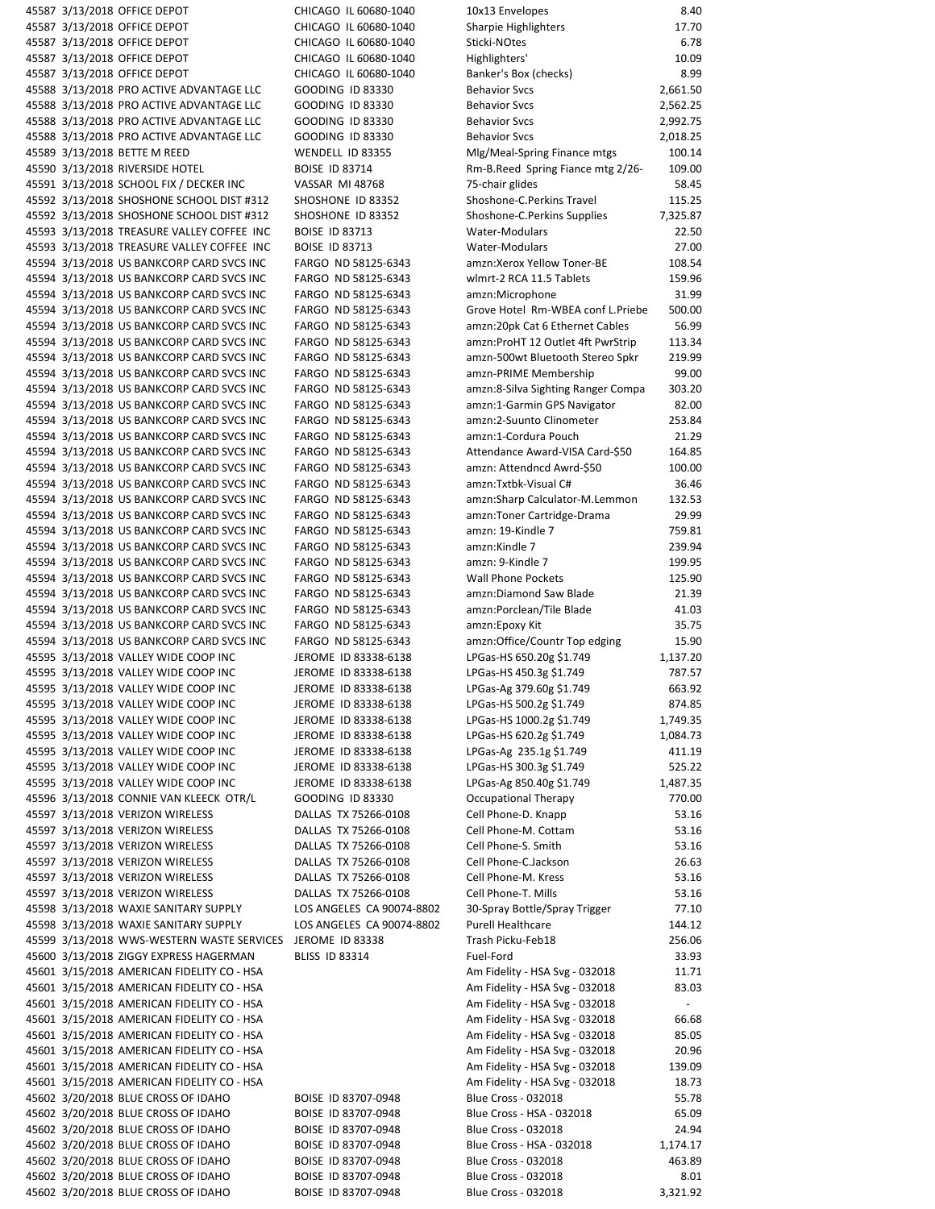3/13/2018 OFFICE DEPOT CHICAGO IL 60680-1040 10x13 Envelopes 8.40 3/13/2018 OFFICE DEPOT CHICAGO IL 60680-1040 Sharpie Highlighters 17.70 3/13/2018 OFFICE DEPOT CHICAGO IL 60680-1040 Sticki-NOtes 6.78 3/13/2018 OFFICE DEPOT CHICAGO IL 60680-1040 Highlighters' 10.09 3/13/2018 OFFICE DEPOT CHICAGO IL 60680-1040 Banker's Box (checks) 8.99 3/13/2018 PRO ACTIVE ADVANTAGE LLC GOODING ID 83330 Behavior Svcs 2,661.50 3/13/2018 PRO ACTIVE ADVANTAGE LLC GOODING ID 83330 Behavior Svcs 2,562.25 3/13/2018 PRO ACTIVE ADVANTAGE LLC GOODING ID 83330 Behavior Svcs 2,992.75 3/13/2018 PRO ACTIVE ADVANTAGE LLC GOODING ID 83330 Behavior Svcs 2,018.25 3/13/2018 BETTE M REED WENDELL ID 83355 Mlg/Meal-Spring Finance mtgs 100.14 45590 3/13/2018 RIVERSIDE HOTEL **BOISE ID 83714** Rm-B.Reed Spring Fiance mtg 2/26- 109.00 3/13/2018 SCHOOL FIX / DECKER INC VASSAR MI 48768 75-chair glides 58.45 3/13/2018 SHOSHONE SCHOOL DIST #312 SHOSHONE ID 83352 Shoshone-C.Perkins Travel 115.25 3/13/2018 SHOSHONE SCHOOL DIST #312 SHOSHONE ID 83352 Shoshone-C.Perkins Supplies 7,325.87 3/13/2018 TREASURE VALLEY COFFEE INC BOISE ID 83713 Water-Modulars 22.50 3/13/2018 TREASURE VALLEY COFFEE INC BOISE ID 83713 Water-Modulars 27.00 3/13/2018 US BANKCORP CARD SVCS INC FARGO ND 58125-6343 amzn:Xerox Yellow Toner-BE 108.54 3/13/2018 US BANKCORP CARD SVCS INC FARGO ND 58125-6343 wlmrt-2 RCA 11.5 Tablets 159.96 3/13/2018 US BANKCORP CARD SVCS INC FARGO ND 58125-6343 amzn:Microphone 31.99 3/13/2018 US BANKCORP CARD SVCS INC FARGO ND 58125-6343 Grove Hotel Rm-WBEA conf L.Priebe 500.00 3/13/2018 US BANKCORP CARD SVCS INC FARGO ND 58125-6343 amzn:20pk Cat 6 Ethernet Cables 56.99 3/13/2018 US BANKCORP CARD SVCS INC FARGO ND 58125-6343 amzn:ProHT 12 Outlet 4ft PwrStrip 113.34 3/13/2018 US BANKCORP CARD SVCS INC FARGO ND 58125-6343 amzn-500wt Bluetooth Stereo Spkr 219.99 3/13/2018 US BANKCORP CARD SVCS INC FARGO ND 58125-6343 amzn-PRIME Membership 99.00 3/13/2018 US BANKCORP CARD SVCS INC FARGO ND 58125-6343 amzn:8-Silva Sighting Ranger Compa 303.20 3/13/2018 US BANKCORP CARD SVCS INC FARGO ND 58125-6343 amzn:1-Garmin GPS Navigator 82.00 3/13/2018 US BANKCORP CARD SVCS INC FARGO ND 58125-6343 amzn:2-Suunto Clinometer 253.84 3/13/2018 US BANKCORP CARD SVCS INC FARGO ND 58125-6343 amzn:1-Cordura Pouch 21.29 3/13/2018 US BANKCORP CARD SVCS INC FARGO ND 58125-6343 Attendance Award-VISA Card-\$50 164.85 3/13/2018 US BANKCORP CARD SVCS INC FARGO ND 58125-6343 amzn: Attendncd Awrd-\$50 100.00 3/13/2018 US BANKCORP CARD SVCS INC FARGO ND 58125-6343 amzn:Txtbk-Visual C# 36.46 3/13/2018 US BANKCORP CARD SVCS INC FARGO ND 58125-6343 amzn:Sharp Calculator-M.Lemmon 132.53 3/13/2018 US BANKCORP CARD SVCS INC FARGO ND 58125-6343 amzn:Toner Cartridge-Drama 29.99 45594 3/13/2018 US BANKCORP CARD SVCS INC FARGO ND 58125-6343 amzn: 19-Kindle 7 759.81 3/13/2018 US BANKCORP CARD SVCS INC FARGO ND 58125-6343 amzn:Kindle 7 239.94 3/13/2018 US BANKCORP CARD SVCS INC FARGO ND 58125-6343 amzn: 9-Kindle 7 199.95 3/13/2018 US BANKCORP CARD SVCS INC FARGO ND 58125-6343 Wall Phone Pockets 125.90 3/13/2018 US BANKCORP CARD SVCS INC FARGO ND 58125-6343 amzn:Diamond Saw Blade 21.39 3/13/2018 US BANKCORP CARD SVCS INC FARGO ND 58125-6343 amzn:Porclean/Tile Blade 41.03 3/13/2018 US BANKCORP CARD SVCS INC FARGO ND 58125-6343 amzn:Epoxy Kit 35.75 3/13/2018 US BANKCORP CARD SVCS INC FARGO ND 58125-6343 amzn:Office/Countr Top edging 15.90 45595 3/13/2018 VALLEY WIDE COOP INC **JEROME ID 83338-6138** LPGas-HS 650.20g \$1.749 1,137.20 45595 3/13/2018 VALLEY WIDE COOP INC **JEROME ID 83338-6138** LPGas-HS 450.3g \$1.749 787.57 3/13/2018 VALLEY WIDE COOP INC JEROME ID 83338-6138 LPGas-Ag 379.60g \$1.749 663.92 45595 3/13/2018 VALLEY WIDE COOP INC JEROME ID 83338-6138 LPGas-HS 500.2g \$1.749 874.85 45595 3/13/2018 VALLEY WIDE COOP INC **JEROME ID 83338-6138** LPGas-HS 1000.2g \$1.749 1,749.35 45595 3/13/2018 VALLEY WIDE COOP INC **JEROME ID 83338-6138** LPGas-HS 620.2g \$1.749 1,084.73 3/13/2018 VALLEY WIDE COOP INC JEROME ID 83338-6138 LPGas-Ag 235.1g \$1.749 411.19 3/13/2018 VALLEY WIDE COOP INC JEROME ID 83338-6138 LPGas-HS 300.3g \$1.749 525.22 45595 3/13/2018 VALLEY WIDE COOP INC **JEROME ID 83338-6138** LPGas-Ag 850.40g \$1.749 1,487.35 3/13/2018 CONNIE VAN KLEECK OTR/L GOODING ID 83330 Occupational Therapy 770.00 3/13/2018 VERIZON WIRELESS DALLAS TX 75266-0108 Cell Phone-D. Knapp 53.16 3/13/2018 VERIZON WIRELESS DALLAS TX 75266-0108 Cell Phone-M. Cottam 53.16 3/13/2018 VERIZON WIRELESS DALLAS TX 75266-0108 Cell Phone-S. Smith 53.16 3/13/2018 VERIZON WIRELESS DALLAS TX 75266-0108 Cell Phone-C.Jackson 26.63 3/13/2018 VERIZON WIRELESS DALLAS TX 75266-0108 Cell Phone-M. Kress 53.16 3/13/2018 VERIZON WIRELESS DALLAS TX 75266-0108 Cell Phone-T. Mills 53.16 3/13/2018 WAXIE SANITARY SUPPLY LOS ANGELES CA 90074-8802 30-Spray Bottle/Spray Trigger 77.10 3/13/2018 WAXIE SANITARY SUPPLY LOS ANGELES CA 90074-8802 Purell Healthcare 144.12 45599 3/13/2018 WWS-WESTERN WASTE SERVICES JEROME ID 83338 Trash Picku-Feb18 256.06 3/13/2018 ZIGGY EXPRESS HAGERMAN BLISS ID 83314 Fuel-Ford 33.93 45601 3/15/2018 AMERICAN FIDELITY CO - HSA AM FORELITY AND RESERVED AM FIDELITY - HSA Svg - 032018 11.71 45601 3/15/2018 AMERICAN FIDELITY CO - HSA AM AM AM Fidelity - HSA Svg - 032018 83.03 3/15/2018 AMERICAN FIDELITY CO - HSA Am Fidelity - HSA Svg - 032018 - 45601 3/15/2018 AMERICAN FIDELITY CO - HSA AM AM FIOREL 2001 Am Fidelity - HSA Svg - 032018 66.68 45601 3/15/2018 AMERICAN FIDELITY CO - HSA AM AM AM Fidelity - HSA Svg - 032018 85.05 45601 3/15/2018 AMERICAN FIDELITY CO - HSA AM FORELLY AM FIDELITY - HSA Svg - 032018 20.96 45601 3/15/2018 AMERICAN FIDELITY CO - HSA AM FORELLY AM FIDELITY - HSA Svg - 032018 139.09 45601 3/15/2018 AMERICAN FIDELITY CO - HSA AM FORELLY AM FIDELITY - HSA Svg - 032018 18.73 3/20/2018 BLUE CROSS OF IDAHO BOISE ID 83707-0948 Blue Cross - 032018 55.78 3/20/2018 BLUE CROSS OF IDAHO BOISE ID 83707-0948 Blue Cross - HSA - 032018 65.09 3/20/2018 BLUE CROSS OF IDAHO BOISE ID 83707-0948 Blue Cross - 032018 24.94 45602 3/20/2018 BLUE CROSS OF IDAHO BOISE ID 83707-0948 Blue Cross - HSA - 032018 1,174.17 3/20/2018 BLUE CROSS OF IDAHO BOISE ID 83707-0948 Blue Cross - 032018 463.89 3/20/2018 BLUE CROSS OF IDAHO BOISE ID 83707-0948 Blue Cross - 032018 8.01

3/20/2018 BLUE CROSS OF IDAHO BOISE ID 83707-0948 Blue Cross - 032018 3,321.92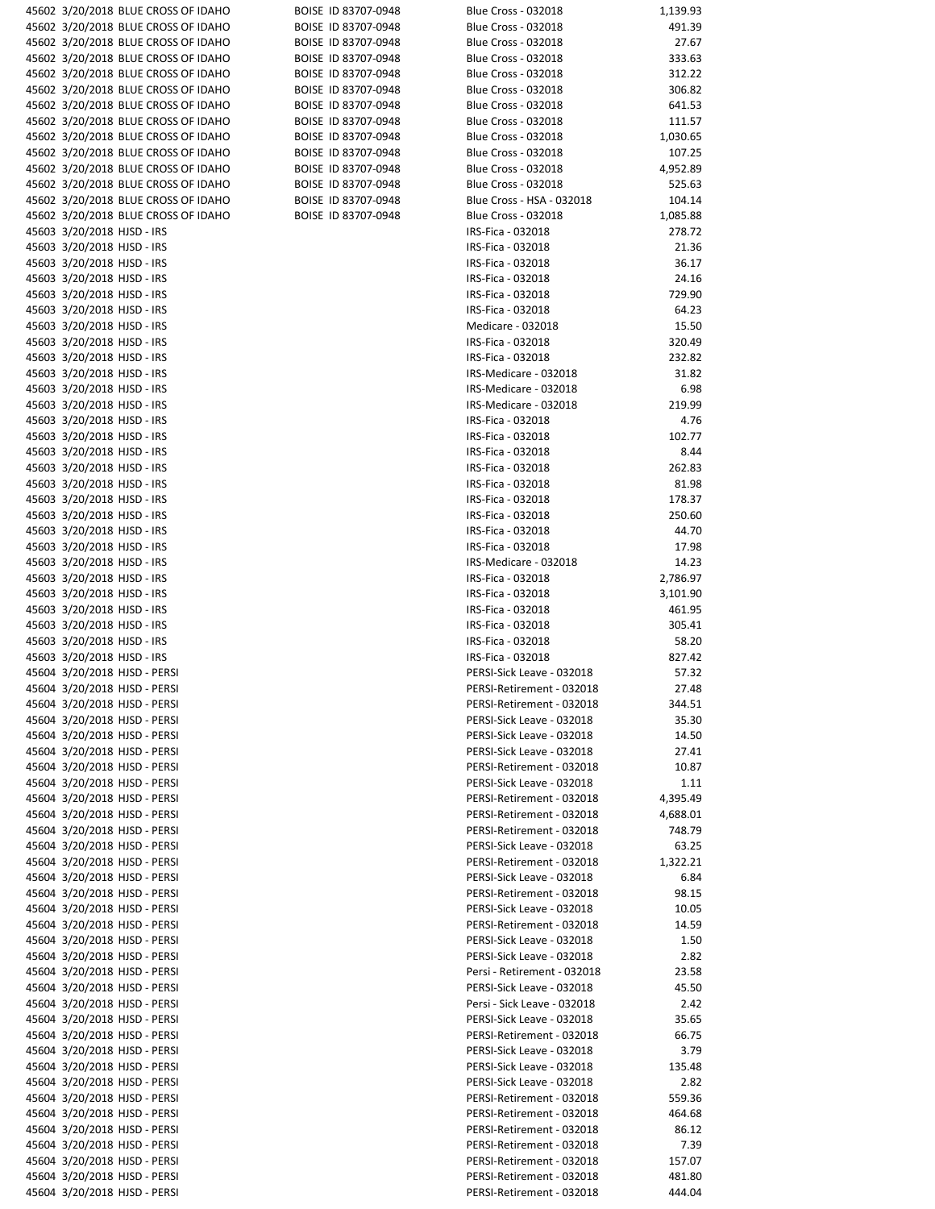|                                                          | 45602 3/20/2018 BLUE CROSS OF IDAHO                          | BOISE ID 83707-0948 | <b>Blue Cross - 032018</b>                             | 1,139.93        |
|----------------------------------------------------------|--------------------------------------------------------------|---------------------|--------------------------------------------------------|-----------------|
|                                                          | 45602 3/20/2018 BLUE CROSS OF IDAHO                          | BOISE ID 83707-0948 | Blue Cross - 032018                                    | 491.39          |
|                                                          | 45602 3/20/2018 BLUE CROSS OF IDAHO                          | BOISE ID 83707-0948 | <b>Blue Cross - 032018</b>                             | 27.67           |
|                                                          | 45602 3/20/2018 BLUE CROSS OF IDAHO                          | BOISE ID 83707-0948 | <b>Blue Cross - 032018</b>                             | 333.63          |
|                                                          | 45602 3/20/2018 BLUE CROSS OF IDAHO                          | BOISE ID 83707-0948 | <b>Blue Cross - 032018</b>                             | 312.22          |
|                                                          | 45602 3/20/2018 BLUE CROSS OF IDAHO                          | BOISE ID 83707-0948 | <b>Blue Cross - 032018</b>                             | 306.82          |
|                                                          | 45602 3/20/2018 BLUE CROSS OF IDAHO                          | BOISE ID 83707-0948 | <b>Blue Cross - 032018</b>                             | 641.53          |
|                                                          | 45602 3/20/2018 BLUE CROSS OF IDAHO                          | BOISE ID 83707-0948 | <b>Blue Cross - 032018</b>                             | 111.57          |
|                                                          | 45602 3/20/2018 BLUE CROSS OF IDAHO                          | BOISE ID 83707-0948 | <b>Blue Cross - 032018</b>                             | 1,030.65        |
|                                                          | 45602 3/20/2018 BLUE CROSS OF IDAHO                          | BOISE ID 83707-0948 | <b>Blue Cross - 032018</b>                             | 107.25          |
|                                                          | 45602 3/20/2018 BLUE CROSS OF IDAHO                          | BOISE ID 83707-0948 | <b>Blue Cross - 032018</b>                             | 4,952.89        |
|                                                          | 45602 3/20/2018 BLUE CROSS OF IDAHO                          | BOISE ID 83707-0948 | <b>Blue Cross - 032018</b>                             | 525.63          |
|                                                          | 45602 3/20/2018 BLUE CROSS OF IDAHO                          | BOISE ID 83707-0948 | Blue Cross - HSA - 032018                              | 104.14          |
|                                                          | 45602 3/20/2018 BLUE CROSS OF IDAHO                          | BOISE ID 83707-0948 | <b>Blue Cross - 032018</b>                             | 1,085.88        |
| 45603 3/20/2018 HJSD - IRS                               |                                                              |                     | IRS-Fica - 032018                                      | 278.72          |
| 45603 3/20/2018 HJSD - IRS                               |                                                              |                     | IRS-Fica - 032018                                      | 21.36           |
| 45603 3/20/2018 HJSD - IRS                               |                                                              |                     | IRS-Fica - 032018                                      | 36.17           |
| 45603 3/20/2018 HJSD - IRS                               |                                                              |                     | IRS-Fica - 032018                                      | 24.16           |
| 45603 3/20/2018 HJSD - IRS                               |                                                              |                     | IRS-Fica - 032018                                      | 729.90          |
| 45603 3/20/2018 HJSD - IRS                               |                                                              |                     | IRS-Fica - 032018                                      | 64.23           |
| 45603 3/20/2018 HJSD - IRS                               |                                                              |                     | Medicare - 032018                                      | 15.50<br>320.49 |
| 45603 3/20/2018 HJSD - IRS                               |                                                              |                     | IRS-Fica - 032018<br>IRS-Fica - 032018                 | 232.82          |
| 45603 3/20/2018 HJSD - IRS<br>45603 3/20/2018 HJSD - IRS |                                                              |                     | IRS-Medicare - 032018                                  | 31.82           |
| 45603 3/20/2018 HJSD - IRS                               |                                                              |                     | IRS-Medicare - 032018                                  | 6.98            |
| 45603 3/20/2018 HJSD - IRS                               |                                                              |                     | IRS-Medicare - 032018                                  | 219.99          |
| 45603 3/20/2018 HJSD - IRS                               |                                                              |                     | IRS-Fica - 032018                                      | 4.76            |
| 45603 3/20/2018 HJSD - IRS                               |                                                              |                     | IRS-Fica - 032018                                      | 102.77          |
| 45603 3/20/2018 HJSD - IRS                               |                                                              |                     | IRS-Fica - 032018                                      | 8.44            |
| 45603 3/20/2018 HJSD - IRS                               |                                                              |                     | IRS-Fica - 032018                                      | 262.83          |
| 45603 3/20/2018 HJSD - IRS                               |                                                              |                     | IRS-Fica - 032018                                      | 81.98           |
| 45603 3/20/2018 HJSD - IRS                               |                                                              |                     | IRS-Fica - 032018                                      | 178.37          |
| 45603 3/20/2018 HJSD - IRS                               |                                                              |                     | IRS-Fica - 032018                                      | 250.60          |
| 45603 3/20/2018 HJSD - IRS                               |                                                              |                     | IRS-Fica - 032018                                      | 44.70           |
| 45603 3/20/2018 HJSD - IRS                               |                                                              |                     | IRS-Fica - 032018                                      | 17.98           |
| 45603 3/20/2018 HJSD - IRS                               |                                                              |                     | IRS-Medicare - 032018                                  | 14.23           |
| 45603 3/20/2018 HJSD - IRS                               |                                                              |                     | IRS-Fica - 032018                                      | 2,786.97        |
| 45603 3/20/2018 HJSD - IRS                               |                                                              |                     | IRS-Fica - 032018                                      | 3,101.90        |
| 45603 3/20/2018 HJSD - IRS                               |                                                              |                     | IRS-Fica - 032018                                      | 461.95          |
| 45603 3/20/2018 HJSD - IRS                               |                                                              |                     | IRS-Fica - 032018                                      | 305.41          |
| 45603 3/20/2018 HJSD - IRS                               |                                                              |                     | IRS-Fica - 032018                                      | 58.20           |
| 45603 3/20/2018 HJSD - IRS                               |                                                              |                     | IRS-Fica - 032018                                      | 827.42          |
|                                                          | 45604 3/20/2018 HJSD - PERSI                                 |                     | PERSI-Sick Leave - 032018                              | 57.32           |
|                                                          | 45604 3/20/2018 HJSD - PERSI                                 |                     | PERSI-Retirement - 032018                              | 27.48           |
|                                                          | 45604 3/20/2018 HJSD - PERSI                                 |                     | PERSI-Retirement - 032018                              | 344.51          |
|                                                          | 45604 3/20/2018 HJSD - PERSI                                 |                     | PERSI-Sick Leave - 032018                              | 35.30           |
|                                                          | 45604 3/20/2018 HJSD - PERSI                                 |                     | PERSI-Sick Leave - 032018                              | 14.50           |
|                                                          | 45604 3/20/2018 HJSD - PERSI                                 |                     | PERSI-Sick Leave - 032018                              | 27.41           |
|                                                          | 45604 3/20/2018 HJSD - PERSI                                 |                     | PERSI-Retirement - 032018                              | 10.87           |
|                                                          | 45604 3/20/2018 HJSD - PERSI                                 |                     | PERSI-Sick Leave - 032018                              | 1.11            |
|                                                          | 45604 3/20/2018 HJSD - PERSI                                 |                     | PERSI-Retirement - 032018                              | 4,395.49        |
|                                                          | 45604 3/20/2018 HJSD - PERSI                                 |                     | PERSI-Retirement - 032018                              | 4,688.01        |
|                                                          | 45604 3/20/2018 HJSD - PERSI                                 |                     | PERSI-Retirement - 032018                              | 748.79          |
|                                                          | 45604 3/20/2018 HJSD - PERSI                                 |                     | PERSI-Sick Leave - 032018                              | 63.25           |
|                                                          | 45604 3/20/2018 HJSD - PERSI                                 |                     | PERSI-Retirement - 032018                              | 1,322.21        |
|                                                          | 45604 3/20/2018 HJSD - PERSI                                 |                     | PERSI-Sick Leave - 032018                              | 6.84            |
|                                                          | 45604 3/20/2018 HJSD - PERSI<br>45604 3/20/2018 HJSD - PERSI |                     | PERSI-Retirement - 032018<br>PERSI-Sick Leave - 032018 | 98.15<br>10.05  |
|                                                          | 45604 3/20/2018 HJSD - PERSI                                 |                     | PERSI-Retirement - 032018                              | 14.59           |
|                                                          | 45604 3/20/2018 HJSD - PERSI                                 |                     | PERSI-Sick Leave - 032018                              | 1.50            |
|                                                          | 45604 3/20/2018 HJSD - PERSI                                 |                     | PERSI-Sick Leave - 032018                              | 2.82            |
|                                                          | 45604 3/20/2018 HJSD - PERSI                                 |                     | Persi - Retirement - 032018                            | 23.58           |
|                                                          | 45604 3/20/2018 HJSD - PERSI                                 |                     | PERSI-Sick Leave - 032018                              | 45.50           |
|                                                          | 45604 3/20/2018 HJSD - PERSI                                 |                     | Persi - Sick Leave - 032018                            | 2.42            |
|                                                          | 45604 3/20/2018 HJSD - PERSI                                 |                     | PERSI-Sick Leave - 032018                              | 35.65           |
|                                                          | 45604 3/20/2018 HJSD - PERSI                                 |                     | PERSI-Retirement - 032018                              | 66.75           |
|                                                          | 45604 3/20/2018 HJSD - PERSI                                 |                     | PERSI-Sick Leave - 032018                              | 3.79            |
|                                                          | 45604 3/20/2018 HJSD - PERSI                                 |                     | PERSI-Sick Leave - 032018                              | 135.48          |
|                                                          | 45604 3/20/2018 HJSD - PERSI                                 |                     | PERSI-Sick Leave - 032018                              | 2.82            |
|                                                          | 45604 3/20/2018 HJSD - PERSI                                 |                     | PERSI-Retirement - 032018                              | 559.36          |
|                                                          | 45604 3/20/2018 HJSD - PERSI                                 |                     | PERSI-Retirement - 032018                              | 464.68          |
|                                                          | 45604 3/20/2018 HJSD - PERSI                                 |                     | PERSI-Retirement - 032018                              | 86.12           |
|                                                          | 45604 3/20/2018 HJSD - PERSI                                 |                     | PERSI-Retirement - 032018                              | 7.39            |
|                                                          | 45604 3/20/2018 HJSD - PERSI                                 |                     | PERSI-Retirement - 032018                              | 157.07          |
|                                                          | 45604 3/20/2018 HJSD - PERSI                                 |                     | PERSI-Retirement - 032018                              | 481.80          |
|                                                          | 45604 3/20/2018 HJSD - PERSI                                 |                     | PERSI-Retirement - 032018                              | 444.04          |

| OISE ID 83707-0948                       | Blue Cro                 |
|------------------------------------------|--------------------------|
| OISE ID 83707-0948                       | Blue Cro                 |
| OISE ID 83707-0948                       | Blue Cro                 |
| OISE ID 83707-0948<br>OISE ID 83707-0948 | Blue Cro<br>Blue Cro     |
| OISE ID 83707-0948                       | Blue Cro                 |
| OISE ID 83707-0948                       | Blue Cro                 |
| OISE ID 83707-0948                       | Blue Cro.                |
| OISE ID 83707-0948                       | Blue Cro<br>Blue Cro.    |
| OISE ID 83707-0948<br>OISE ID 83707-0948 | Blue Cro                 |
| OISE ID 83707-0948                       | Blue Cro                 |
| OISE ID 83707-0948                       | Blue Cro                 |
| OISE ID 83707-0948                       | Blue Cro<br>IRS-Fica -   |
|                                          | IRS-Fica ·               |
|                                          | IRS-Fica -               |
|                                          | IRS-Fica -               |
|                                          | IRS-Fica<br>IRS-Fica -   |
|                                          | Medicar                  |
|                                          | IRS-Fica -               |
|                                          | IRS-Fica -               |
|                                          | IRS-Med<br>IRS-Med       |
|                                          | IRS-Med                  |
|                                          | IRS-Fica -               |
|                                          | IRS-Fica                 |
|                                          | IRS-Fica -<br>IRS-Fica - |
|                                          | IRS-Fica -               |
|                                          | IRS-Fica -               |
|                                          | IRS-Fica                 |
|                                          | IRS-Fica -<br>IRS-Fica - |
|                                          | IRS-Med                  |
|                                          | IRS-Fica -               |
|                                          | IRS-Fica -<br>IRS-Fica - |
|                                          | IRS-Fica                 |
|                                          | IRS-Fica ·               |
|                                          | IRS-Fica -               |
|                                          | PERSI-Sic<br>PERSI-Re    |
|                                          | PERSI-Re                 |
|                                          | PERSI-Sic                |
|                                          | PERSI-Sic                |
|                                          | PERSI-Sic<br>PERSI-Re    |
|                                          | PERSI-Sic                |
|                                          | PERSI-Re                 |
|                                          | PERSI-Re<br>PERSI-Re     |
|                                          | PERSI-Sic                |
|                                          | PERSI-Re                 |
|                                          | PERSI-Sic                |
|                                          | PERSI-Re<br>PERSI-Sic    |
|                                          | PERSI-Re                 |
|                                          | PERSI-Sic                |
|                                          | PERSI-Sic                |
|                                          | Persi - Re<br>PERSI-Sic  |
|                                          | Persi - Si               |
|                                          | PERSI-Sic                |
|                                          | PERSI-Re<br>PERSI-Sic    |
|                                          | PERSI-Sic                |
|                                          | PERSI-Sic                |
|                                          |                          |

| 45602 3/20/2018 BLUE CROSS OF IDAHO | BOISE ID 83707-0948 | Blue Cross - 032018         | 1,139.93 |
|-------------------------------------|---------------------|-----------------------------|----------|
| 45602 3/20/2018 BLUE CROSS OF IDAHO | BOISE ID 83707-0948 | Blue Cross - 032018         | 491.39   |
| 45602 3/20/2018 BLUE CROSS OF IDAHO | BOISE ID 83707-0948 |                             |          |
|                                     |                     | <b>Blue Cross - 032018</b>  | 27.67    |
| 45602 3/20/2018 BLUE CROSS OF IDAHO | BOISE ID 83707-0948 | <b>Blue Cross - 032018</b>  | 333.63   |
| 45602 3/20/2018 BLUE CROSS OF IDAHO | BOISE ID 83707-0948 | Blue Cross - 032018         | 312.22   |
| 45602 3/20/2018 BLUE CROSS OF IDAHO | BOISE ID 83707-0948 | <b>Blue Cross - 032018</b>  | 306.82   |
| 45602 3/20/2018 BLUE CROSS OF IDAHO | BOISE ID 83707-0948 | <b>Blue Cross - 032018</b>  | 641.53   |
| 45602 3/20/2018 BLUE CROSS OF IDAHO | BOISE ID 83707-0948 | <b>Blue Cross - 032018</b>  | 111.57   |
| 45602 3/20/2018 BLUE CROSS OF IDAHO | BOISE ID 83707-0948 | <b>Blue Cross - 032018</b>  | 1,030.65 |
|                                     |                     |                             |          |
| 45602 3/20/2018 BLUE CROSS OF IDAHO | BOISE ID 83707-0948 | <b>Blue Cross - 032018</b>  | 107.25   |
| 45602 3/20/2018 BLUE CROSS OF IDAHO | BOISE ID 83707-0948 | <b>Blue Cross - 032018</b>  | 4,952.89 |
| 45602 3/20/2018 BLUE CROSS OF IDAHO | BOISE ID 83707-0948 | <b>Blue Cross - 032018</b>  | 525.63   |
| 45602 3/20/2018 BLUE CROSS OF IDAHO | BOISE ID 83707-0948 | Blue Cross - HSA - 032018   | 104.14   |
| 45602 3/20/2018 BLUE CROSS OF IDAHO | BOISE ID 83707-0948 | <b>Blue Cross - 032018</b>  | 1,085.88 |
| 45603 3/20/2018 HJSD - IRS          |                     | IRS-Fica - 032018           | 278.72   |
|                                     |                     |                             |          |
| 45603 3/20/2018 HJSD - IRS          |                     | IRS-Fica - 032018           | 21.36    |
| 45603 3/20/2018 HJSD - IRS          |                     | IRS-Fica - 032018           | 36.17    |
| 45603 3/20/2018 HJSD - IRS          |                     | IRS-Fica - 032018           | 24.16    |
| 45603 3/20/2018 HJSD - IRS          |                     | IRS-Fica - 032018           | 729.90   |
| 45603 3/20/2018 HJSD - IRS          |                     | IRS-Fica - 032018           | 64.23    |
| 45603 3/20/2018 HJSD - IRS          |                     | Medicare - 032018           | 15.50    |
| 45603 3/20/2018 HJSD - IRS          |                     | IRS-Fica - 032018           | 320.49   |
|                                     |                     |                             |          |
| 45603 3/20/2018 HJSD - IRS          |                     | IRS-Fica - 032018           | 232.82   |
| 45603 3/20/2018 HJSD - IRS          |                     | IRS-Medicare - 032018       | 31.82    |
| 45603 3/20/2018 HJSD - IRS          |                     | IRS-Medicare - 032018       | 6.98     |
| 45603 3/20/2018 HJSD - IRS          |                     | IRS-Medicare - 032018       | 219.99   |
| 45603 3/20/2018 HJSD - IRS          |                     | IRS-Fica - 032018           | 4.76     |
| 45603 3/20/2018 HJSD - IRS          |                     | IRS-Fica - 032018           | 102.77   |
| 45603 3/20/2018 HJSD - IRS          |                     | IRS-Fica - 032018           | 8.44     |
|                                     |                     |                             |          |
| 45603 3/20/2018 HJSD - IRS          |                     | IRS-Fica - 032018           | 262.83   |
| 45603 3/20/2018 HJSD - IRS          |                     | IRS-Fica - 032018           | 81.98    |
| 45603 3/20/2018 HJSD - IRS          |                     | IRS-Fica - 032018           | 178.37   |
| 45603 3/20/2018 HJSD - IRS          |                     | IRS-Fica - 032018           | 250.60   |
| 45603 3/20/2018 HJSD - IRS          |                     | IRS-Fica - 032018           | 44.70    |
| 45603 3/20/2018 HJSD - IRS          |                     | IRS-Fica - 032018           | 17.98    |
|                                     |                     | IRS-Medicare - 032018       |          |
| 45603 3/20/2018 HJSD - IRS          |                     |                             | 14.23    |
| 45603 3/20/2018 HJSD - IRS          |                     | IRS-Fica - 032018           | 2,786.97 |
| 45603 3/20/2018 HJSD - IRS          |                     | IRS-Fica - 032018           | 3,101.90 |
| 45603 3/20/2018 HJSD - IRS          |                     | IRS-Fica - 032018           | 461.95   |
| 45603 3/20/2018 HJSD - IRS          |                     | IRS-Fica - 032018           | 305.41   |
| 45603 3/20/2018 HJSD - IRS          |                     | IRS-Fica - 032018           | 58.20    |
| 45603 3/20/2018 HJSD - IRS          |                     | IRS-Fica - 032018           | 827.42   |
| 45604 3/20/2018 HJSD - PERSI        |                     | PERSI-Sick Leave - 032018   | 57.32    |
|                                     |                     |                             |          |
| 45604 3/20/2018 HJSD - PERSI        |                     | PERSI-Retirement - 032018   | 27.48    |
| 45604 3/20/2018 HJSD - PERSI        |                     | PERSI-Retirement - 032018   | 344.51   |
| 45604 3/20/2018 HJSD - PERSI        |                     | PERSI-Sick Leave - 032018   | 35.30    |
| 45604 3/20/2018 HJSD - PERSI        |                     | PERSI-Sick Leave - 032018   | 14.50    |
| 45604 3/20/2018 HJSD - PERSI        |                     | PERSI-Sick Leave - 032018   | 27.41    |
| 45604 3/20/2018 HJSD - PERSI        |                     | PERSI-Retirement - 032018   | 10.87    |
|                                     |                     |                             |          |
| 45604 3/20/2018 HJSD - PERSI        |                     | PERSI-Sick Leave - 032018   | 1.11     |
| 45604 3/20/2018 HJSD - PERSI        |                     | PERSI-Retirement - 032018   | 4,395.49 |
| 45604 3/20/2018 HJSD - PERSI        |                     | PERSI-Retirement - 032018   | 4,688.01 |
| 45604 3/20/2018 HJSD - PERSI        |                     | PERSI-Retirement - 032018   | 748.79   |
| 45604 3/20/2018 HJSD - PERSI        |                     | PERSI-Sick Leave - 032018   | 63.25    |
| 45604 3/20/2018 HJSD - PERSI        |                     | PERSI-Retirement - 032018   | 1,322.21 |
| 45604 3/20/2018 HJSD - PERSI        |                     | PERSI-Sick Leave - 032018   | 6.84     |
| 45604 3/20/2018 HJSD - PERSI        |                     | PERSI-Retirement - 032018   | 98.15    |
|                                     |                     |                             |          |
| 45604 3/20/2018 HJSD - PERSI        |                     | PERSI-Sick Leave - 032018   | 10.05    |
| 45604 3/20/2018 HJSD - PERSI        |                     | PERSI-Retirement - 032018   | 14.59    |
| 45604 3/20/2018 HJSD - PERSI        |                     | PERSI-Sick Leave - 032018   | 1.50     |
| 45604 3/20/2018 HJSD - PERSI        |                     | PERSI-Sick Leave - 032018   | 2.82     |
| 45604 3/20/2018 HJSD - PERSI        |                     | Persi - Retirement - 032018 | 23.58    |
| 45604 3/20/2018 HJSD - PERSI        |                     | PERSI-Sick Leave - 032018   | 45.50    |
|                                     |                     |                             |          |
| 45604 3/20/2018 HJSD - PERSI        |                     | Persi - Sick Leave - 032018 | 2.42     |
| 45604 3/20/2018 HJSD - PERSI        |                     | PERSI-Sick Leave - 032018   | 35.65    |
| 45604 3/20/2018 HJSD - PERSI        |                     | PERSI-Retirement - 032018   | 66.75    |
| 45604 3/20/2018 HJSD - PERSI        |                     | PERSI-Sick Leave - 032018   | 3.79     |
| 45604 3/20/2018 HJSD - PERSI        |                     | PERSI-Sick Leave - 032018   | 135.48   |
| 45604 3/20/2018 HJSD - PERSI        |                     | PERSI-Sick Leave - 032018   | 2.82     |
| 45604 3/20/2018 HJSD - PERSI        |                     | PERSI-Retirement - 032018   | 559.36   |
| 45604 3/20/2018 HJSD - PERSI        |                     |                             |          |
|                                     |                     | PERSI-Retirement - 032018   | 464.68   |
| 45604 3/20/2018 HJSD - PERSI        |                     | PERSI-Retirement - 032018   | 86.12    |
| 45604 3/20/2018 HJSD - PERSI        |                     | PERSI-Retirement - 032018   | 7.39     |
| 45604 3/20/2018 HJSD - PERSI        |                     | PERSI-Retirement - 032018   | 157.07   |
| 45604 3/20/2018 HJSD - PERSI        |                     | PERSI-Retirement - 032018   | 481.80   |
|                                     |                     |                             |          |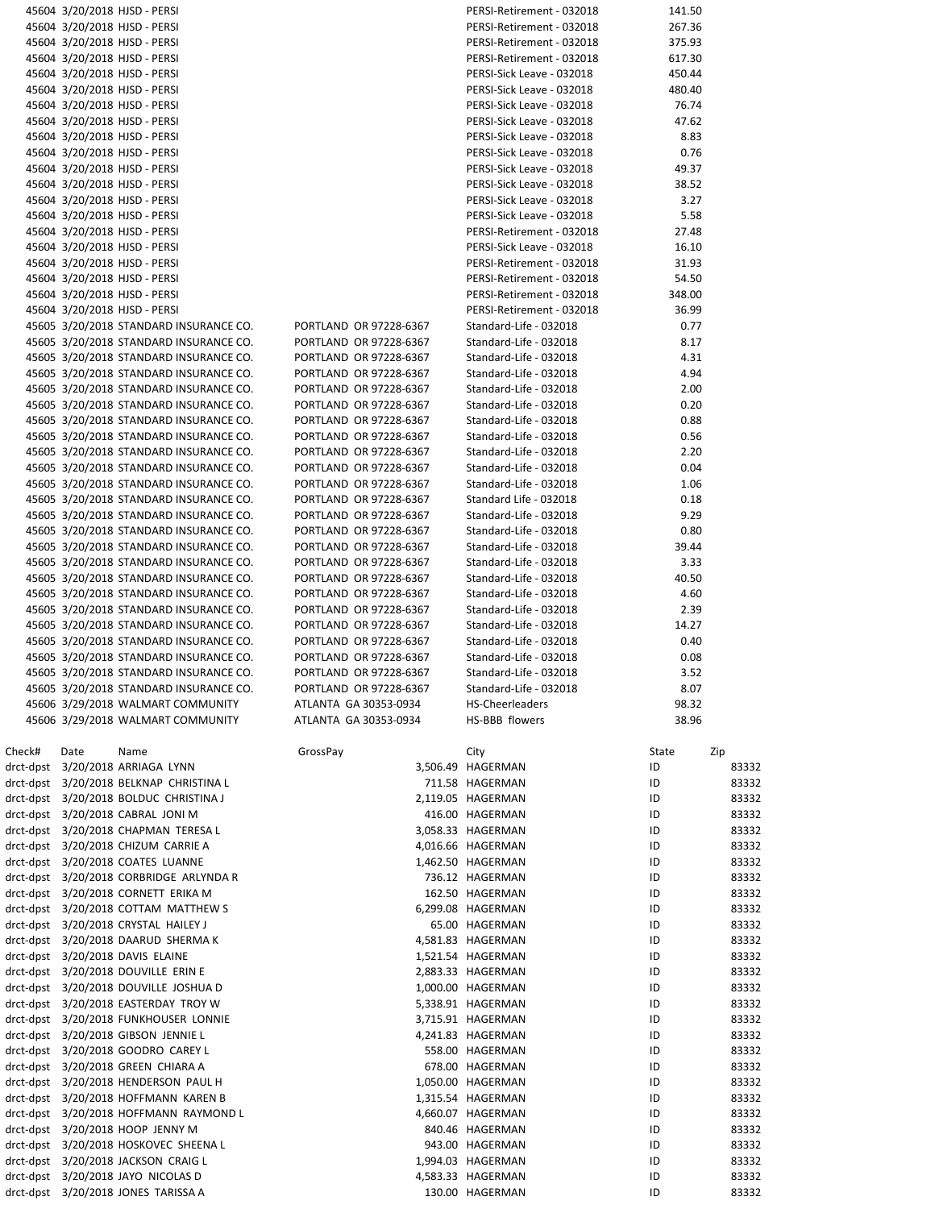|        |      | 45604 3/20/2018 HJSD - PERSI                                                     |                                                  | PERSI-Retirement - 032018                        | 141.50       |                |
|--------|------|----------------------------------------------------------------------------------|--------------------------------------------------|--------------------------------------------------|--------------|----------------|
|        |      | 45604 3/20/2018 HJSD - PERSI                                                     |                                                  | PERSI-Retirement - 032018                        | 267.36       |                |
|        |      | 45604 3/20/2018 HJSD - PERSI                                                     |                                                  | PERSI-Retirement - 032018                        | 375.93       |                |
|        |      | 45604 3/20/2018 HJSD - PERSI                                                     |                                                  | PERSI-Retirement - 032018                        | 617.30       |                |
|        |      | 45604 3/20/2018 HJSD - PERSI                                                     |                                                  | PERSI-Sick Leave - 032018                        | 450.44       |                |
|        |      | 45604 3/20/2018 HJSD - PERSI                                                     |                                                  | PERSI-Sick Leave - 032018                        | 480.40       |                |
|        |      | 45604 3/20/2018 HJSD - PERSI                                                     |                                                  | PERSI-Sick Leave - 032018                        | 76.74        |                |
|        |      | 45604 3/20/2018 HJSD - PERSI                                                     |                                                  | PERSI-Sick Leave - 032018                        | 47.62        |                |
|        |      | 45604 3/20/2018 HJSD - PERSI                                                     |                                                  | PERSI-Sick Leave - 032018                        | 8.83         |                |
|        |      | 45604 3/20/2018 HJSD - PERSI                                                     |                                                  | PERSI-Sick Leave - 032018                        | 0.76         |                |
|        |      | 45604 3/20/2018 HJSD - PERSI                                                     |                                                  | PERSI-Sick Leave - 032018                        | 49.37        |                |
|        |      | 45604 3/20/2018 HJSD - PERSI                                                     |                                                  | PERSI-Sick Leave - 032018                        | 38.52        |                |
|        |      | 45604 3/20/2018 HJSD - PERSI                                                     |                                                  | PERSI-Sick Leave - 032018                        | 3.27         |                |
|        |      | 45604 3/20/2018 HJSD - PERSI                                                     |                                                  | PERSI-Sick Leave - 032018                        | 5.58         |                |
|        |      | 45604 3/20/2018 HJSD - PERSI                                                     |                                                  | PERSI-Retirement - 032018                        | 27.48        |                |
|        |      | 45604 3/20/2018 HJSD - PERSI                                                     |                                                  | PERSI-Sick Leave - 032018                        | 16.10        |                |
|        |      | 45604 3/20/2018 HJSD - PERSI                                                     |                                                  | PERSI-Retirement - 032018                        | 31.93        |                |
|        |      | 45604 3/20/2018 HJSD - PERSI                                                     |                                                  | PERSI-Retirement - 032018                        | 54.50        |                |
|        |      | 45604 3/20/2018 HJSD - PERSI                                                     |                                                  | PERSI-Retirement - 032018                        | 348.00       |                |
|        |      | 45604 3/20/2018 HJSD - PERSI                                                     |                                                  | PERSI-Retirement - 032018                        | 36.99        |                |
|        |      | 45605 3/20/2018 STANDARD INSURANCE CO.                                           | PORTLAND OR 97228-6367                           | Standard-Life - 032018                           | 0.77         |                |
|        |      | 45605 3/20/2018 STANDARD INSURANCE CO.                                           | PORTLAND OR 97228-6367                           | Standard-Life - 032018                           | 8.17         |                |
|        |      | 45605 3/20/2018 STANDARD INSURANCE CO.                                           | PORTLAND OR 97228-6367                           | Standard-Life - 032018                           | 4.31         |                |
|        |      | 45605 3/20/2018 STANDARD INSURANCE CO.                                           | PORTLAND OR 97228-6367                           | Standard-Life - 032018                           | 4.94         |                |
|        |      | 45605 3/20/2018 STANDARD INSURANCE CO.                                           | PORTLAND OR 97228-6367                           | Standard-Life - 032018                           | 2.00         |                |
|        |      | 45605 3/20/2018 STANDARD INSURANCE CO.                                           | PORTLAND OR 97228-6367                           | Standard-Life - 032018                           | 0.20         |                |
|        |      | 45605 3/20/2018 STANDARD INSURANCE CO.                                           | PORTLAND OR 97228-6367                           | Standard-Life - 032018                           | 0.88         |                |
|        |      | 45605 3/20/2018 STANDARD INSURANCE CO.                                           | PORTLAND OR 97228-6367                           | Standard-Life - 032018                           | 0.56         |                |
|        |      | 45605 3/20/2018 STANDARD INSURANCE CO.                                           | PORTLAND OR 97228-6367                           | Standard-Life - 032018                           | 2.20         |                |
|        |      | 45605 3/20/2018 STANDARD INSURANCE CO.                                           | PORTLAND OR 97228-6367                           | Standard-Life - 032018                           | 0.04         |                |
|        |      | 45605 3/20/2018 STANDARD INSURANCE CO.                                           | PORTLAND OR 97228-6367                           | Standard-Life - 032018                           | 1.06         |                |
|        |      | 45605 3/20/2018 STANDARD INSURANCE CO.                                           | PORTLAND OR 97228-6367                           | Standard Life - 032018                           | 0.18         |                |
|        |      | 45605 3/20/2018 STANDARD INSURANCE CO.                                           | PORTLAND OR 97228-6367                           | Standard-Life - 032018                           | 9.29         |                |
|        |      | 45605 3/20/2018 STANDARD INSURANCE CO.                                           | PORTLAND OR 97228-6367                           | Standard-Life - 032018                           | 0.80         |                |
|        |      | 45605 3/20/2018 STANDARD INSURANCE CO.                                           | PORTLAND OR 97228-6367                           | Standard-Life - 032018                           | 39.44        |                |
|        |      | 45605 3/20/2018 STANDARD INSURANCE CO.                                           | PORTLAND OR 97228-6367                           | Standard-Life - 032018                           | 3.33         |                |
|        |      | 45605 3/20/2018 STANDARD INSURANCE CO.                                           | PORTLAND OR 97228-6367                           | Standard-Life - 032018                           | 40.50        |                |
|        |      | 45605 3/20/2018 STANDARD INSURANCE CO.                                           | PORTLAND OR 97228-6367                           | Standard-Life - 032018                           | 4.60         |                |
|        |      | 45605 3/20/2018 STANDARD INSURANCE CO.                                           | PORTLAND OR 97228-6367                           | Standard-Life - 032018                           | 2.39         |                |
|        |      | 45605 3/20/2018 STANDARD INSURANCE CO.                                           | PORTLAND OR 97228-6367<br>PORTLAND OR 97228-6367 | Standard-Life - 032018                           | 14.27        |                |
|        |      | 45605 3/20/2018 STANDARD INSURANCE CO.                                           |                                                  | Standard-Life - 032018                           | 0.40         |                |
|        |      | 45605 3/20/2018 STANDARD INSURANCE CO.<br>45605 3/20/2018 STANDARD INSURANCE CO. | PORTLAND OR 97228-6367<br>PORTLAND OR 97228-6367 | Standard-Life - 032018<br>Standard-Life - 032018 | 0.08<br>3.52 |                |
|        |      | 45605 3/20/2018 STANDARD INSURANCE CO.                                           | PORTLAND OR 97228-6367                           | Standard-Life - 032018                           | 8.07         |                |
|        |      | 45606 3/29/2018 WALMART COMMUNITY                                                | ATLANTA GA 30353-0934                            | HS-Cheerleaders                                  |              |                |
|        |      |                                                                                  |                                                  |                                                  |              |                |
|        |      |                                                                                  |                                                  |                                                  | 98.32        |                |
|        |      | 45606 3/29/2018 WALMART COMMUNITY                                                | ATLANTA GA 30353-0934                            | HS-BBB flowers                                   | 38.96        |                |
|        |      |                                                                                  |                                                  |                                                  |              |                |
| Check# | Date | Name                                                                             | GrossPay                                         | City                                             | State        | Zip            |
|        |      | drct-dpst 3/20/2018 ARRIAGA LYNN                                                 |                                                  | 3,506.49 HAGERMAN                                | ID           | 83332          |
|        |      | drct-dpst 3/20/2018 BELKNAP CHRISTINA L                                          |                                                  | 711.58 HAGERMAN                                  | ID           | 83332          |
|        |      | drct-dpst 3/20/2018 BOLDUC CHRISTINA J                                           |                                                  | 2,119.05 HAGERMAN                                | ID           | 83332          |
|        |      | drct-dpst 3/20/2018 CABRAL JONI M                                                |                                                  | 416.00 HAGERMAN                                  | ID           | 83332          |
|        |      | drct-dpst 3/20/2018 CHAPMAN TERESA L                                             |                                                  | 3,058.33 HAGERMAN                                | ID           | 83332          |
|        |      | drct-dpst 3/20/2018 CHIZUM CARRIE A                                              |                                                  | 4,016.66 HAGERMAN                                | ID           | 83332          |
|        |      | drct-dpst 3/20/2018 COATES LUANNE                                                |                                                  | 1,462.50 HAGERMAN                                | ID           | 83332          |
|        |      | drct-dpst 3/20/2018 CORBRIDGE ARLYNDA R                                          |                                                  | 736.12 HAGERMAN                                  | ID           | 83332          |
|        |      | drct-dpst 3/20/2018 CORNETT ERIKA M                                              |                                                  | 162.50 HAGERMAN                                  | ID           | 83332          |
|        |      | drct-dpst 3/20/2018 COTTAM MATTHEW S                                             |                                                  | 6,299.08 HAGERMAN                                | ID           | 83332          |
|        |      | drct-dpst 3/20/2018 CRYSTAL HAILEY J                                             |                                                  | 65.00 HAGERMAN                                   | ID           | 83332          |
|        |      | drct-dpst 3/20/2018 DAARUD SHERMA K                                              |                                                  | 4,581.83 HAGERMAN                                | ID<br>ID     | 83332          |
|        |      | drct-dpst 3/20/2018 DAVIS ELAINE<br>drct-dpst 3/20/2018 DOUVILLE ERIN E          |                                                  | 1,521.54 HAGERMAN<br>2,883.33 HAGERMAN           | ID           | 83332<br>83332 |
|        |      | drct-dpst 3/20/2018 DOUVILLE JOSHUA D                                            |                                                  | 1,000.00 HAGERMAN                                | ID           | 83332          |
|        |      | drct-dpst 3/20/2018 EASTERDAY TROY W                                             |                                                  | 5,338.91 HAGERMAN                                | ID           | 83332          |
|        |      | drct-dpst 3/20/2018 FUNKHOUSER LONNIE                                            |                                                  | 3,715.91 HAGERMAN                                | ID           | 83332          |
|        |      | drct-dpst 3/20/2018 GIBSON JENNIE L                                              |                                                  | 4,241.83 HAGERMAN                                | ID           | 83332          |
|        |      | drct-dpst 3/20/2018 GOODRO CAREY L                                               |                                                  | 558.00 HAGERMAN                                  | ID           | 83332          |
|        |      | drct-dpst 3/20/2018 GREEN CHIARA A                                               |                                                  | 678.00 HAGERMAN                                  | ID           | 83332          |
|        |      | drct-dpst 3/20/2018 HENDERSON PAUL H                                             |                                                  | 1,050.00 HAGERMAN                                | ID           | 83332          |
|        |      | drct-dpst 3/20/2018 HOFFMANN KAREN B                                             |                                                  | 1,315.54 HAGERMAN                                | ID           | 83332          |
|        |      | drct-dpst 3/20/2018 HOFFMANN RAYMOND L                                           |                                                  | 4,660.07 HAGERMAN                                | ID           | 83332          |
|        |      | drct-dpst 3/20/2018 HOOP JENNY M                                                 |                                                  | 840.46 HAGERMAN                                  | ID           | 83332          |
|        |      | drct-dpst 3/20/2018 HOSKOVEC SHEENA L                                            |                                                  | 943.00 HAGERMAN                                  | ID           | 83332          |
|        |      | drct-dpst 3/20/2018 JACKSON CRAIG L                                              |                                                  | 1,994.03 HAGERMAN                                | ID           | 83332          |
|        |      | drct-dpst 3/20/2018 JAYO NICOLAS D<br>drct-dpst 3/20/2018 JONES TARISSA A        |                                                  | 4,583.33 HAGERMAN<br>130.00 HAGERMAN             | ID<br>ID     | 83332<br>83332 |